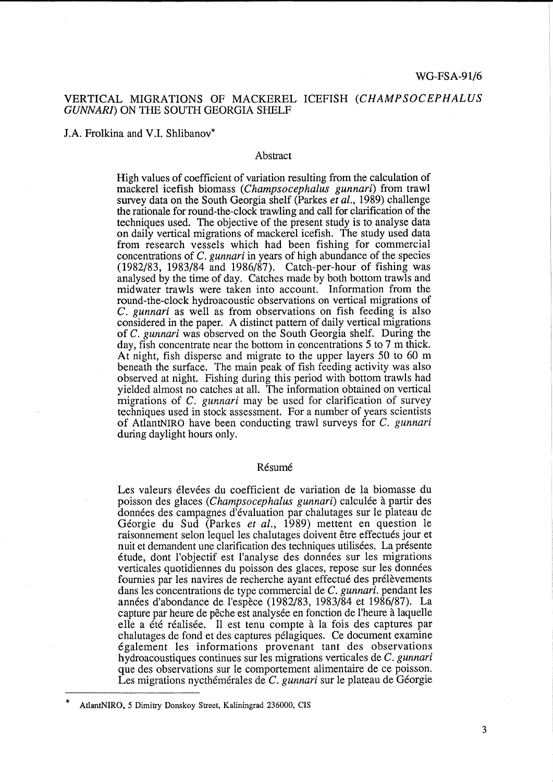## VERTICAL MIGRATIONS OF MACKEREL ICEFISH *(CHAMPSOCEPHALUS GUNNARI)* ON THE SOUTH GEORGIA SHELF

J.A. Frolkina and V .I. Shlibanov\*

### Abstract

High values of coefficient of variation resulting from the calculation of mackerel icefish biomass *(Champsocephalus gunnari)* from trawl survey data on the South Georgia shelf (Parkes *et al.,* 1989) challenge the rationale for round-the-clock trawling and call for clarification of the techniques used. The objective of the present study is to analyse data on daily vertical migrations of mackerel icefish. The study used data from research vessels which had been fishing for commercial concentrations of *C. gunnari* in years of high abundance of the species (1982/83, 1983/84 and 1986/87). Catch-per-hour of fishing was analysed by the time of day. Catches made by both bottom trawls and midwater trawls were taken into account. Information from the round-the-clock hydroacoustic observations on vertical migrations of C. *gunnari* as well as from observations on fish feeding is also considered in the paper. A distinct pattern of daily vertical migrations of *C. gunnari* was observed on the South Georgia shelf. During the day, fish concentrate near the bottom in concentrations 5 to 7 m thick. At night, fish disperse and migrate to the upper layers 50 to 60 m beneath the surface. The main peak of fish feeding activity was also observed at night. Fishing during this period with bottom trawls had yielded almost no catches at all. The information obtained on vertical migrations of *C. gunnari* may be used for clarification of survey techniques used in stock assessment. For a number of years scientists of AtlantNIRO have been conducting trawl surveys for *C. gunnari*  during daylight hours only.

#### Résumé

Les valeurs élevées du coefficient de variation de la biomasse du poisson des glaces *(Champsocephalus gunnari)* calculee a partir des donnees des campagnes d'evaluation par chalutages sur le plateau de Georgie du Sud (Parkes *et al.,* 1989) mettent en question le raisonnement selon lequel les chalutages doivent être effectués jour et nuit et demandent une clarification des techniques utilisées. La présente etude, dont l'objectif est !'analyse des donnees sur les migrations verticales quotidiennes du poisson des glaces, repose sur les données fournies par les navires de recherche ayant effectué des prélèvements dans les concentrations de type commercial de *C. gunnari.* pendant les annees d'abondance de l'espece (1982/83, 1983/84 et 1986/87). La capture par heure de pêche est analysée en fonction de l'heure à laquelle elle a été réalisée. Il est tenu compte à la fois des captures par chalutages de fond et des captures pelagiques. Ce document examine egalement les informations provenant tant des observations hydroacoustiques continues sur les migrations verticales de *C. gunnari*  que des observations sur le comportement alimentaire de ce poisson. Les migrations nycthémérales de *C. gunnari* sur le plateau de Géorgie

<sup>\*</sup>  AtlantNIRO, 5 Dimitry Donskoy Street, Kaliningrad 236000, CIS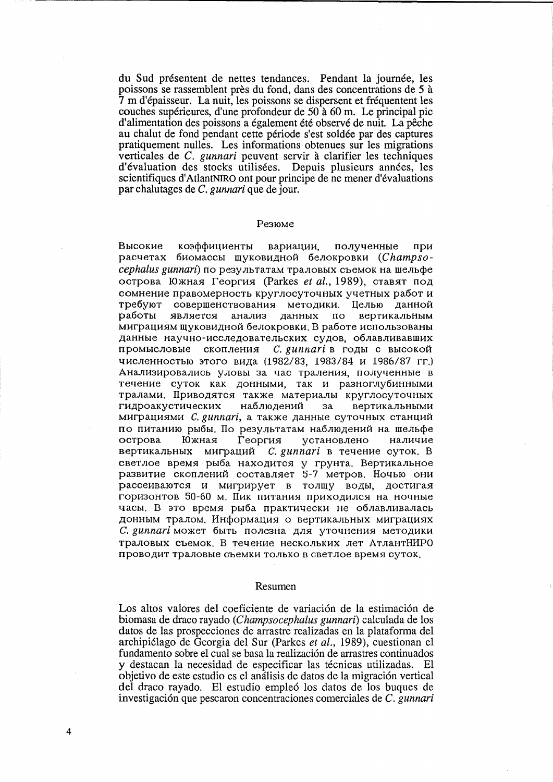du Sud presentent de nettes tendances. Pendant la journee, les poissons se rassemblent pres du fond, dans des concentrations de 5 a 7 m d'epaisseur. La nuit, les poissons se dispersent et frequentent les couches supérieures, d'une profondeur de  $50a$  60 m. Le principal pic d'alimentation des poissons a également été observé de nuit. La pêche au chalut de fond pendant cette période s'est soldée par des captures pratiquement nulles. Les informations obtenues sur les migrations verticales de *C. gunnari* peuvent servir a clarifier les techniques d'évaluation des stocks utilisées. Depuis plusieurs années, les scientifiques d'AtlantNIRO ont pour principe de ne mener d'évaluations par chalutages de *C. gunnari* que de jour.

#### Pe3IOMe

Высокие коэффициенты вариации, полученные при расчетах биомассы щуковидной белокровки *(Champsocephalus gunnari*) по результатам траловых съемок на шельфе острова Южная Георгия (Parkes *et al.*, 1989), ставят под сомнение правомерность круглосуточных учетных работ и требуют совершенствования методики. Целью данной работы является анализ данных по вертикальным миграциям щуковидной белокровки. В работе использованы данные научно-исследовательских судов, облавливавших промысловые скопления *C. gunnari* в годы с высокой численностью этого вида (1982/83, 1983/84 и 1986/87 гг.) Анализировались уловы за час траления, полученные в течение суток как донными, так и разноглубинными тралами. Приводятся также материалы круглосуточных гидроакустических наблюдений за вертикальными MUTDAЦИЯМИ *C. gunnari*, а также данные суточных станций по питанию рыбы. По результатам наблюдений на шельфе острова Южная Георгия установлено наличие вертикальных миграций *С. gunnari* в течение суток. В светлое время рыба находится у грунта. Вертикальное развитие скоплений составляет 5-7 метров. Ночью они рассеиваются и мигрирует в толщу воды, достигая горизонтов 50-60 м. Пик питания приходился на ночные часы. В это время рыба практически не облавливалась донным тралом. Информация о вертикальных миграциях C. *gunnari* может быть полезна для уточнения методики траловых съемок. В течение нескольких лет АтлантНИРО проводит траловые съемки только в светлое время суток.

#### Resumen

Los altos valores del coeficiente de variación de la estimación de biomasa de draco rayado *(Champsocephalus gunnari)* calculada de los datos de las prospecciones de arrastre realizadas en la plataforma del archipielago de Georgia del Sur (Parkes *et al.,* 1989), cuestionan el fundamento sobre el cual se basa la realización de arrastres continuados y destacan la necesidad de especificar las técnicas utilizadas. El objetivo de este estudio es el análisis de datos de la migración vertical del draco rayado. El estudio emple6 los datos de los buques de investigaci6n que pescaron concentraciones comerciales de *C. gunnari* 

4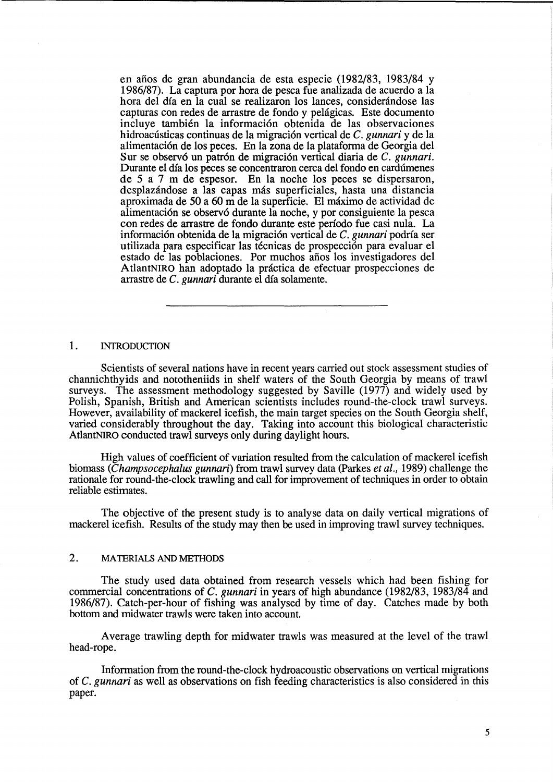en años de gran abundancia de esta especie (1982/83, 1983/84 y 1986/87). La captura por hora de pesca fue analizada de acuerdo a la hora del día en la cual se realizaron los lances, considerándose las capturas con redes de arrastre de fondo y pehigicas. Este documento incluye también la información obtenida de las observaciones hidroacústicas continuas de la migración vertical de *C. gunnari* y de la alimentaci6n de los peces. En la zona de la plataforma de Georgia del Sur se observó un patrón de migración vertical diaria de *C. gunnari*. Durante el día los peces se concentraron cerca del fondo en cardúmenes de 5 a 7 m de espesor. En la noche los peces se dispersaron, desplazándose a las capas más superficiales, hasta una distancia aproximada de 50 a 60 m de la superficie. El maximo de actividad de alimentaci6n se observ6 durante la noche, y por consiguiente la pesca con redes de arrastre de fondo durante este periodo fue casi nula. La informaci6n obtenida de la migraci6n vertical de *C. gunnari* podria ser utilizada para especificar las técnicas de prospección para evaluar el estado de las poblaciones. Por muchos años los investigadores del AtlantNIRO han adoptado la practica de efectuar prospecciones de arrastre de *C. gunnari* durante el dfa solamente.

## 1. INTRODUCTION

Scientists of several nations have in recent years carried out stock assessment studies of channichthyids and nototheniids in shelf waters of the South Georgia by means of trawl surveys. The assessment methodology suggested by Saville (1977) and widely used by Polish, Spanish, British and American scientists includes round-the-clock trawl surveys. However, availability of mackerel icefish, the main target species on the South Georgia shelf, varied considerably throughout the day. Taking into account this biological characteristic AtlantNIRO conducted trawl surveys only during daylight hours.

High values of coefficient of variation resulted from the calculation of mackerel ice fish biomass *(Champsocephalus gunnari)* from trawl survey data (Parkes *et al.,* 1989) challenge the rationale for round-the-clock trawling and call for improvement of techniques in order to obtain reliable estimates.

The objective of the present study is to analyse data on daily vertical migrations of mackerel icefish. Results of the study may then be used in improving trawl survey techniques.

## 2. MATERIALS AND METHODS

The study used data obtained from research vessels which had been fishing for commercial concentrations of C. *gunnari* in years of high abundance (1982/83, 1983/84 and 1986/87). Catch-per-hour of fishing was analysed by time of day. Catches made by both bottom and midwater trawls were taken into account.

Average trawling depth for midwater trawls was measured at the level of the trawl head-rope.

Information from the round-the-clock hydroacoustic observations on vertical migrations of *C. gunnari* as well as observations on fish feeding characteristics is also considered in this paper.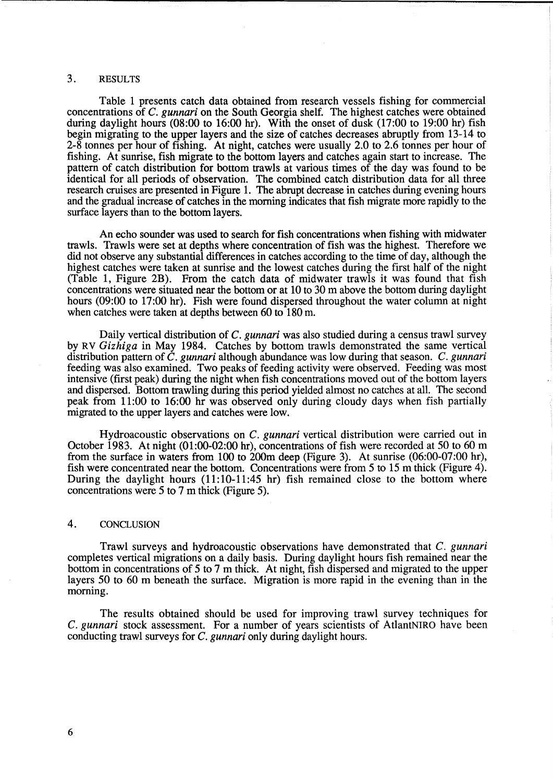# 3. RESULTS

Table 1 presents catch data obtained from research vessels fishing for commercial concentrations of *C. gunnari* on the South Georgia shelf. The highest catches were obtained during daylight hours (08:00 to 16:00 hr). With the onset of dusk (17:00 to 19:00 hr) fish begin migrating to the upper layers and the size of catches decreases abruptly from 13-14 to 2-8 tonnes per hour of fishing. At night, catches were usually 2.0 to 2.6 tonnes per hour of fishing. At sunrise, fish migrate to the bottom layers and catches again start to increase. The pattern of catch distribution for bottom trawls at various times of the day was found to be identical for all periods of observation. The combined catch distribution data for all three research cruises are presented in Figure 1. The abrupt decrease in catches during evening hours and the gradual increase of catches in the morning indicates that fish migrate more rapidly to the surface layers than to the bottom layers.

An echo sounder was used to search for fish concentrations when fishing with midwater trawls. Trawls were set at depths where concentration of fish was the highest. Therefore we did not observe any substantial differences in catches according to the time of day, although the highest catches were taken at sunrise and the lowest catches during the first half of the night (Table 1, Figure 2B). From the catch data of midwater trawls it was found that fish concentrations were situated near the bottom or at 10 to 30 m above the bottom during daylight hours (09:00 to 17:00 hr). Fish were found dispersed throughout the water column at night when catches were taken at depths between 60 to 180 m.

Daily vertical distribution of *C. gunnari* was also studied during a census trawl survey by RV *Gizhiga* in May 1984. Catches by bottom trawls demonstrated the same vertical distribution pattern of *C. gunnari* although abundance was low during that season. *C. gunnari*  feeding was also examined. Two peaks of feeding activity were observed. Feeding was most intensive (first peak) during the night when fish concentrations moved out of the bottom layers and dispersed. Bottom trawling during this period yielded almost no catches at all. The second peak from 11:00 to 16:00 hr was observed only during cloudy days when fish partially migrated to the upper layers and catches were low.

Hydroacoustic observations on *C. gunnari* vertical distribution were carried out in October 1983. At night (01:00-02:00 hr), concentrations of fish were recorded at 50 to 60 m from the surface in waters from 100 to 200m deep (Figure 3). At sunrise (06:00-07:00 hr), fish were concentrated near the bottom. Concentrations were from 5 to 15 m thick (Figure 4). During the daylight hours (11:10-11:45 hr) fish remained close to the bottom where concentrations were 5 to 7 m thick (Figure 5).

# 4. CONCLUSION

Trawl surveys and hydroacoustic observations have demonstrated that *C. gunnari*  completes vertical migrations on a daily basis. During daylight hours fish remained near the bottom in concentrations of 5 to 7 m thick. At night, fish dispersed and migrated to the upper layers 50 to 60 m beneath the surface. Migration is more rapid in the evening than in the morning.

The results obtained should be used for improving trawl survey techniques for *C. gunnari* stock assessment. For a number of years scientists of AtlantNIRO have been conducting trawl surveys for *C. gunnari* only during daylight hours.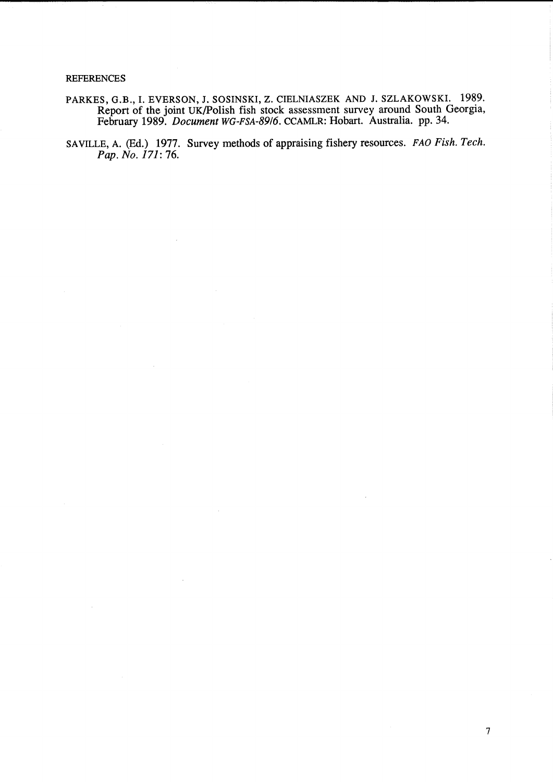### **REFERENCES**

- PARKES, G.B., I. EVERSON, J. SOSINSKI, Z. CIELNIASZEK AND J. SZLAKOWSKI. 1989. Report of the joint UK/Polish fish stock assessment survey around South Georgia, February 1989. *Document* WG-FSA-8916. CCAMLR: Hobart. Australia. pp. 34.
- SAVILLE, A. (Ed.) 1977. Survey methods of appraising fishery resources. FAO *Fish. Tech. Pap. No. 171:* 76.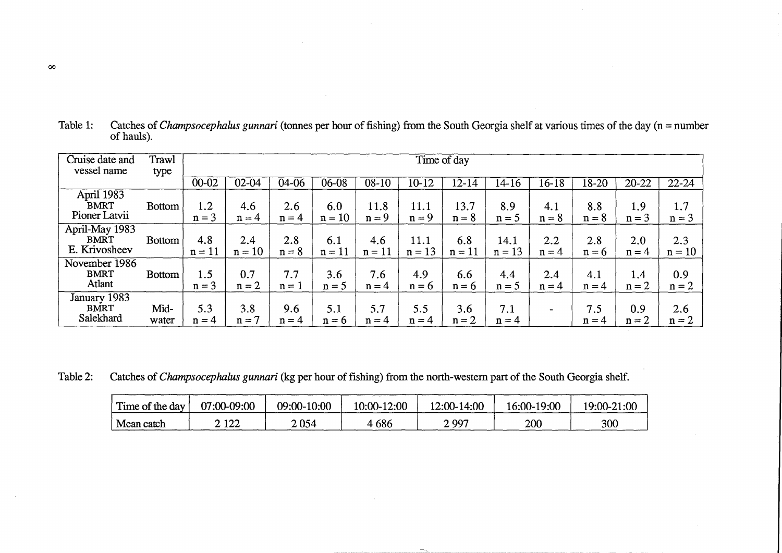| Cruise date and<br>vessel name                 | Trawl<br>type | Time of day     |                 |                |                 |                 |                  |                 |                  |                |                |                |                 |
|------------------------------------------------|---------------|-----------------|-----------------|----------------|-----------------|-----------------|------------------|-----------------|------------------|----------------|----------------|----------------|-----------------|
|                                                |               | $00 - 02$       | $02 - 04$       | 04-06          | $06 - 08$       | $08 - 10$       | 10-12            | 12-14           | 14-16            | 16-18          | 18-20          | $20 - 22$      | $22 - 24$       |
| April 1983<br><b>BMRT</b><br>Pioner Latvii     | <b>Bottom</b> | 1.2<br>$n = 3$  | 4.6<br>$n = 4$  | 2.6<br>$n = 4$ | 6.0<br>$n = 10$ | 11.8<br>$n = 9$ | 11.1<br>$n = 9$  | 13.7<br>$n = 8$ | 8.9<br>$n = 5$   | 4.1<br>$n = 8$ | 8.8<br>$n = 8$ | 1.9<br>$n = 3$ | 1.7<br>$n = 3$  |
| April-May 1983<br><b>BMRT</b><br>E. Krivosheev | <b>Bottom</b> | 4.8<br>$n = 11$ | 2.4<br>$n = 10$ | 2.8<br>$n = 8$ | 6.1<br>$n = 11$ | 4.6<br>$n = 11$ | 11.1<br>$n = 13$ | 6.8<br>$n = 11$ | 14.1<br>$n = 13$ | 2.2<br>$n = 4$ | 2.8<br>$n = 6$ | 2.0<br>$n = 4$ | 2.3<br>$n = 10$ |
| November 1986<br><b>BMRT</b><br>Atlant         | <b>Bottom</b> | 1.5<br>$n = 3$  | 0.7<br>$n = 2$  | 7.7<br>$n = 1$ | 3.6<br>$n = 5$  | 7.6<br>$n = 4$  | 4.9<br>$n = 6$   | 6.6<br>$n = 6$  | 4.4<br>$n = 5$   | 2.4<br>$n = 4$ | 4.1<br>$n = 4$ | 1.4<br>$n = 2$ | 0.9<br>$n = 2$  |
| January 1983<br><b>BMRT</b><br>Salekhard       | Mid-<br>water | 5.3<br>$n = 4$  | 3.8<br>$n = 7$  | 9.6<br>$n = 4$ | 5.1<br>$n = 6$  | 5.7<br>$n = 4$  | 5.5<br>$n = 4$   | 3.6<br>$n = 2$  | 7.1<br>$n = 4$   |                | 7.5<br>$n = 4$ | 0.9<br>$n = 2$ | 2.6<br>$n = 2$  |

Table 1: Catches of *Champsocephalus gunnari* (tonnes per hour of fishing) from the South Georgia shelf at various times of the day (n =number of hauls).

Table 2: Catches of *Champsocephalus gunnari* (kg per hour of fishing) from the north-western part of the South Georgia shelf.

| Time of the day | 07:00-09:00 | 09:00-10:00 | 10:00-12:00 | 12:00-14:00 | 16:00-19:00 | 19:00-21:00 |
|-----------------|-------------|-------------|-------------|-------------|-------------|-------------|
| Mean catch      | 2 122       | 2 054       | 4 686       | 2 997       | 200         | 300         |

 $\infty$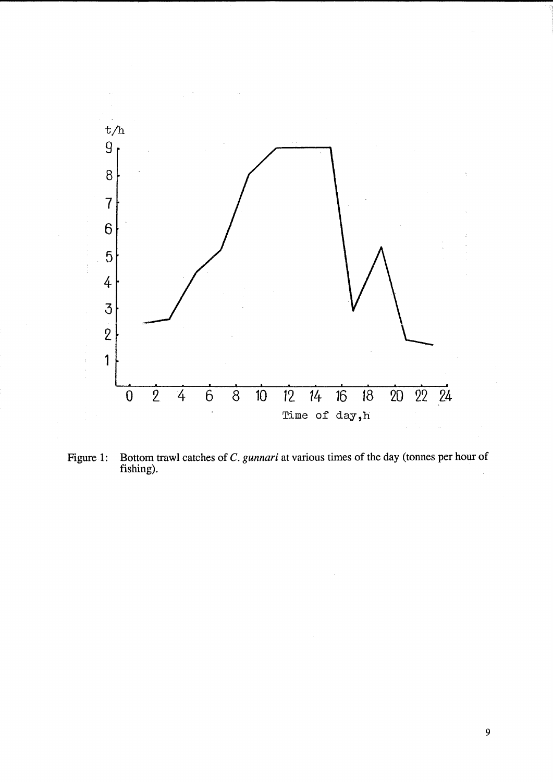

Figure 1: Bottom trawl catches of C. *gunnari* at various times of the day (tonnes per hour of fishing).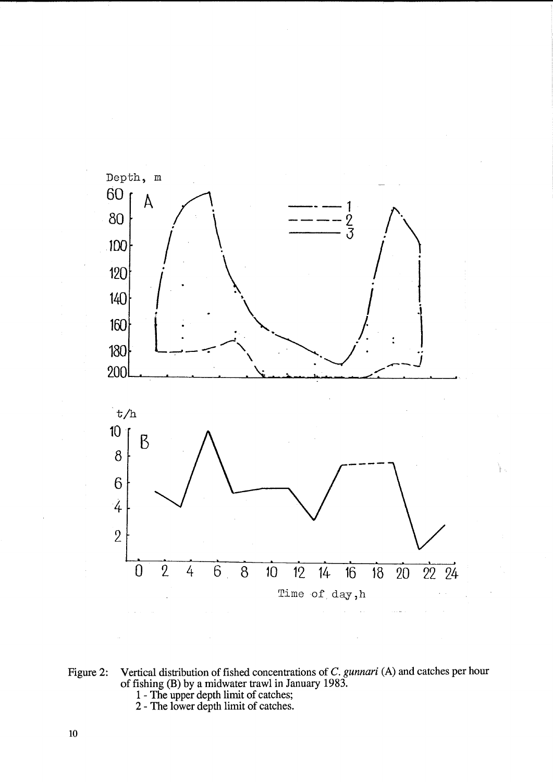

١.

Figure 2: Vertical distribution of fished concentrations of C. *gunnari* (A) and catches per hour of fishing (B) by a midwater trawl in January 1983.

- 1 The upper depth limit of catches;
- 2 The lower depth limit of catches.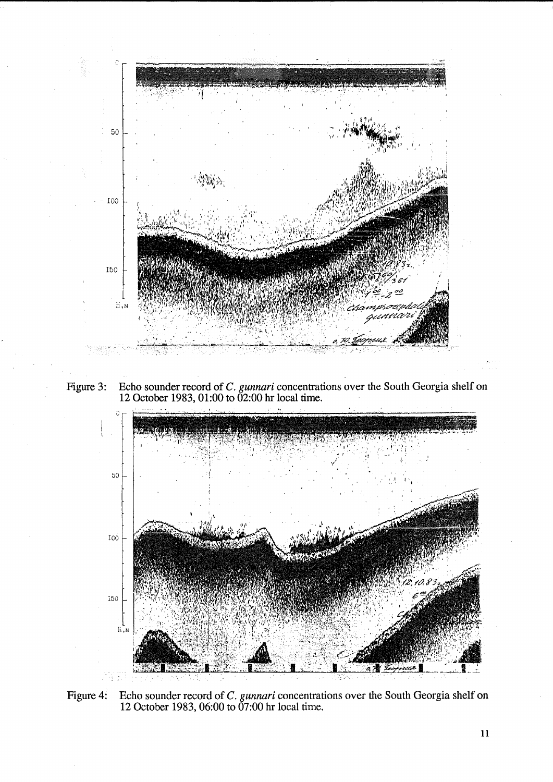

Figure 3: Echo sounder record of C. *gunnari* concentrations over the South Georgia shelf on 12 October 1983, 01:00 to 02:00 hr local time.



Figure 4: Echo sounder record of C. *gunnari* concentrations over the South Georgia shelf on 12 October 1983, 06:00 to 07:00 hr local time.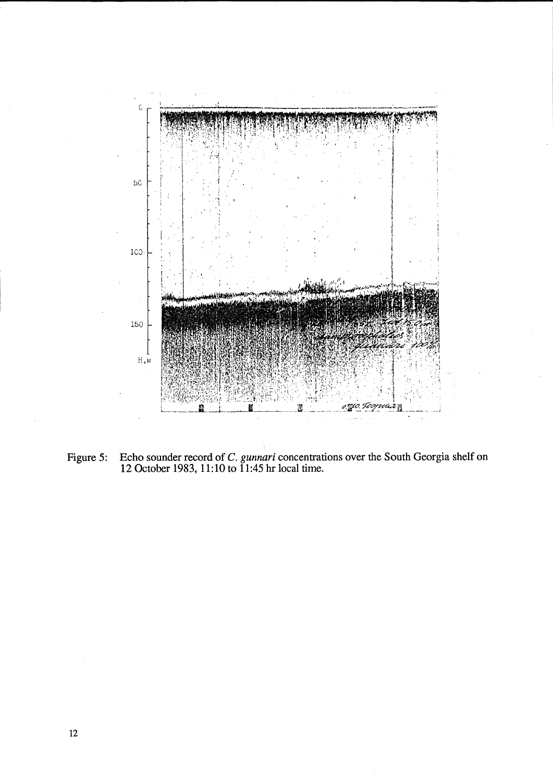

Figure 5: Echo sounder record of C. *gunnari* concentrations over the South Georgia shelf on 12 October 1983, 11:10 to 11:45 hr local time.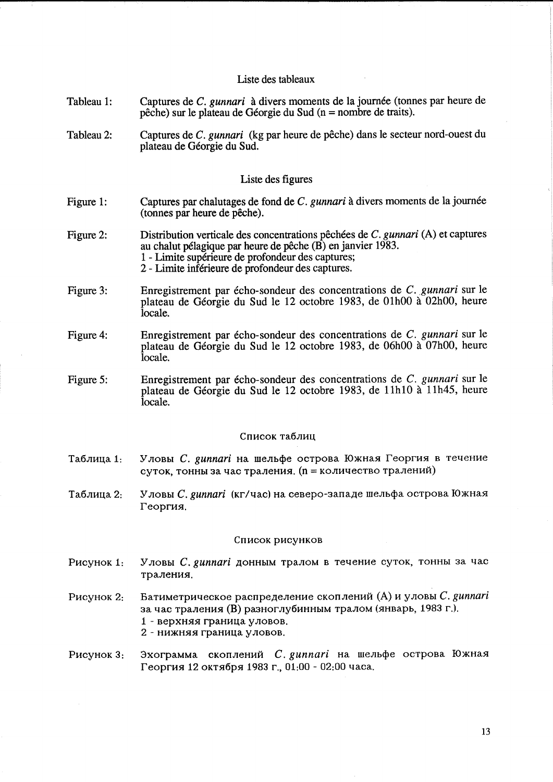# Liste des tableaux

- Tableau 1: Captures de C. *gunnari* à divers moments de la journée (tonnes par heure de peche) sur le plateau de Georgie du Sud (n = nombre de traits).
- Tableau 2: Captures de C. *gunnari* (kg par heure de pêche) dans le secteur nord-ouest du plateau de Georgie du Sud.

## Liste des figures

- Figure 1: Captures par chalutages de fond de C. *gunnari* à divers moments de la journée (tonnes par heure de peche).
- Figure 2: Distribution verticale des concentrations pêchées de C. *gunnari* (A) et captures au chalut pelagique par heure de peche (B) en janvier 1983. 1 - Limite superieure de profondeur des captures; 2 - Limite inferieure de profondeur des captures.
- Figure 3: Enregistrement par echo-sondeur des concentrations de C. *gunnari* sur le plateau de Georgie du Sud le 12 octobre 1983, de 01h00 a 02h00, heure locale.
- Figure 4: Enregistrement par echo-sondeur des concentrations de C. *gunnari* sur le plateau de Georgie du Sud le 12 octobre 1983, de 06h00 a 07h00, heure locale.
- Figure 5: Enregistrement par echo-sondeur des concentrations de C. *gunnari* sur le plateau de Géorgie du Sud le 12 octobre 1983, de 11h10 à 11h45, heure locale.

### Список таблиц

- Таблица 1: Уловы *С. gunnari* на шельфе острова Южная Георгия в течение суток, тонны за час траления. (n = количество тралений)
- Таблица 2: Уловы С. *gunnari* (кг/час) на северо-западе шельфа острова Южная Георгия.

#### CnucoK pucyHKOB

- PUCYHOK 1: Уловы *C. gunnari* донным тралом в течение суток, тонны за час траления.
- Рисунок 2: Батиметрическое распределение скоплений (А) и уловы *С. gunnari* за час траления (В) разноглубинным тралом (январь, 1983 г.). 1 - верхняя граница уловов.
	- 2 нижняя граница уловов.
- Pисунок 3: Эхограмма скоплений *C. gunnari* на шельфе острова Южная Георгия 12 октября 1983 г., 01:00 - 02:00 часа.